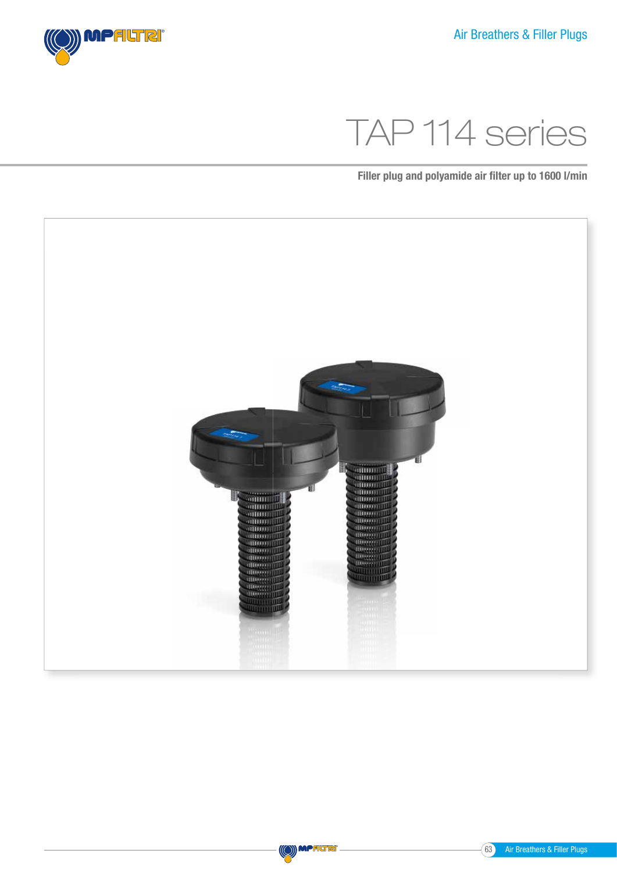

# TAP 114 series

Filler plug and polyamide air filter up to 1600 l/min



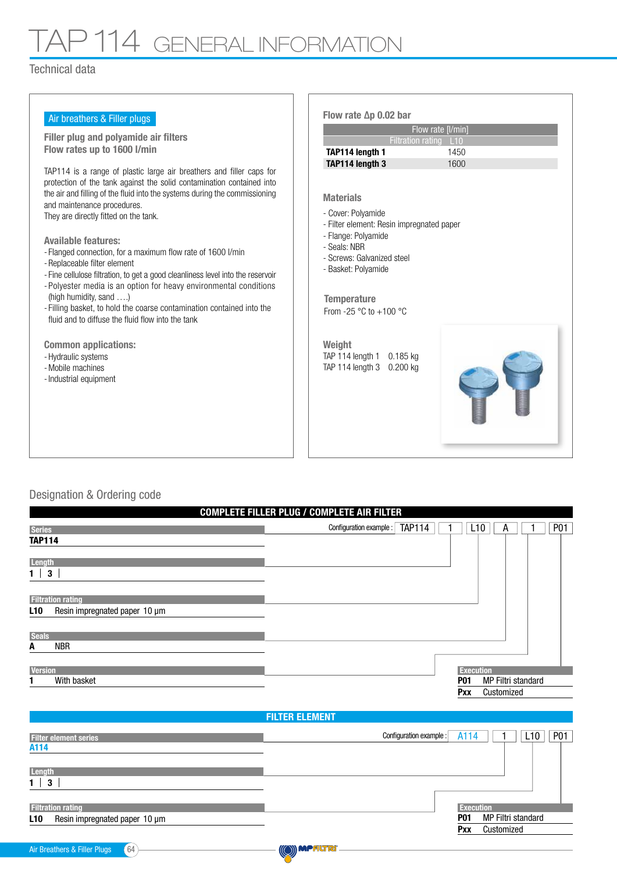## TAP 114 GENERAL INFORMATION

#### Technical data

| Air breathers & Filler plugs                                                                                                                                                                                                                                                                                                                                                                                                                                                                                                                                                                                                                                                                                                                                                                                                                          | Flow rate $\Delta p$ 0.02 bar                                                                                                                                                                                                                                                                                                                            |
|-------------------------------------------------------------------------------------------------------------------------------------------------------------------------------------------------------------------------------------------------------------------------------------------------------------------------------------------------------------------------------------------------------------------------------------------------------------------------------------------------------------------------------------------------------------------------------------------------------------------------------------------------------------------------------------------------------------------------------------------------------------------------------------------------------------------------------------------------------|----------------------------------------------------------------------------------------------------------------------------------------------------------------------------------------------------------------------------------------------------------------------------------------------------------------------------------------------------------|
|                                                                                                                                                                                                                                                                                                                                                                                                                                                                                                                                                                                                                                                                                                                                                                                                                                                       | Flow rate [I/min]                                                                                                                                                                                                                                                                                                                                        |
| <b>Filler plug and polyamide air filters</b><br>Flow rates up to 1600 l/min                                                                                                                                                                                                                                                                                                                                                                                                                                                                                                                                                                                                                                                                                                                                                                           | Filtration rating L10                                                                                                                                                                                                                                                                                                                                    |
|                                                                                                                                                                                                                                                                                                                                                                                                                                                                                                                                                                                                                                                                                                                                                                                                                                                       | TAP114 length 1<br>1450                                                                                                                                                                                                                                                                                                                                  |
| TAP114 is a range of plastic large air breathers and filler caps for<br>protection of the tank against the solid contamination contained into<br>the air and filling of the fluid into the systems during the commissioning<br>and maintenance procedures.<br>They are directly fitted on the tank.<br><b>Available features:</b><br>- Flanged connection, for a maximum flow rate of 1600 l/min<br>- Replaceable filter element<br>- Fine cellulose filtration, to get a good cleanliness level into the reservoir<br>- Polyester media is an option for heavy environmental conditions<br>(high humidity, sand )<br>- Filling basket, to hold the coarse contamination contained into the<br>fluid and to diffuse the fluid flow into the tank<br><b>Common applications:</b><br>- Hydraulic systems<br>- Mobile machines<br>- Industrial equipment | TAP114 length 3<br>1600<br><b>Materials</b><br>- Cover: Polyamide<br>- Filter element: Resin impregnated paper<br>- Flange: Polyamide<br>- Seals: NBR<br>- Screws: Galvanized steel<br>- Basket: Polyamide<br><b>Temperature</b><br>From -25 $\degree$ C to +100 $\degree$ C<br>Weight<br>TAP 114 length 1<br>0.185 kg<br>TAP 114 length 3<br>$0.200$ kg |

### Designation & Ordering code

|                                           | <b>COMPLETE FILLER PLUG / COMPLETE AIR FILTER</b> |                                  |  |            |            |
|-------------------------------------------|---------------------------------------------------|----------------------------------|--|------------|------------|
| <b>Series</b>                             | <b>TAP114</b><br>Configuration example :          | L <sub>10</sub>                  |  | A          | <b>P01</b> |
| <b>TAP114</b>                             |                                                   |                                  |  |            |            |
| Length                                    |                                                   |                                  |  |            |            |
| $\overline{\mathbf{3}}$<br>1 <sup>1</sup> |                                                   |                                  |  |            |            |
|                                           |                                                   |                                  |  |            |            |
| <b>Filtration rating</b>                  |                                                   |                                  |  |            |            |
| Resin impregnated paper 10 µm<br>L10      |                                                   |                                  |  |            |            |
|                                           |                                                   |                                  |  |            |            |
| <b>Seals</b>                              |                                                   |                                  |  |            |            |
| NBR<br>A                                  |                                                   |                                  |  |            |            |
|                                           |                                                   |                                  |  |            |            |
| <b>Version</b>                            |                                                   | <b>Execution</b>                 |  |            |            |
| With basket                               |                                                   | MP Filtri standard<br><b>P01</b> |  |            |            |
|                                           |                                                   | <b>Pxx</b>                       |  | Customized |            |

#### FILTER ELEMENT Filter element series A114 Filtration rating L10 Resin impregnated paper 10 µm Configuration example :  $\boxed{A114}$   $\boxed{1}$  L10 P01 **Execution P01 Pxx** MP Filtri standard Customized **Length**  $1 \mid 3 \mid$